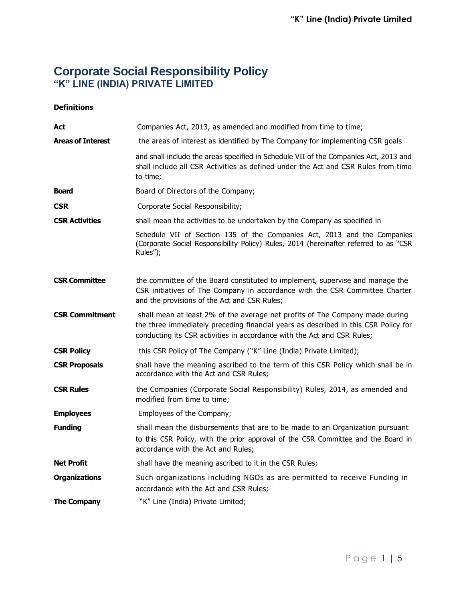# **Corporate Social Responsibility Policy "K" LINE (INDIA) PRIVATE LIMITED**

# **Definitions**

| Act                      | Companies Act, 2013, as amended and modified from time to time;                                                                                                                                                                                |
|--------------------------|------------------------------------------------------------------------------------------------------------------------------------------------------------------------------------------------------------------------------------------------|
| <b>Areas of Interest</b> | the areas of interest as identified by The Company for implementing CSR goals                                                                                                                                                                  |
|                          | and shall include the areas specified in Schedule VII of the Companies Act, 2013 and<br>shall include all CSR Activities as defined under the Act and CSR Rules from time<br>to time;                                                          |
| <b>Board</b>             | Board of Directors of the Company;                                                                                                                                                                                                             |
| <b>CSR</b>               | Corporate Social Responsibility;                                                                                                                                                                                                               |
| <b>CSR Activities</b>    | shall mean the activities to be undertaken by the Company as specified in                                                                                                                                                                      |
|                          | Schedule VII of Section 135 of the Companies Act, 2013 and the Companies<br>(Corporate Social Responsibility Policy) Rules, 2014 (hereinafter referred to as "CSR<br>Rules");                                                                  |
| <b>CSR Committee</b>     | the committee of the Board constituted to implement, supervise and manage the<br>CSR initiatives of The Company in accordance with the CSR Committee Charter<br>and the provisions of the Act and CSR Rules;                                   |
| <b>CSR Commitment</b>    | shall mean at least 2% of the average net profits of The Company made during<br>the three immediately preceding financial years as described in this CSR Policy for<br>conducting its CSR activities in accordance with the Act and CSR Rules; |
| <b>CSR Policy</b>        | this CSR Policy of The Company ("K" Line (India) Private Limited);                                                                                                                                                                             |
| <b>CSR Proposals</b>     | shall have the meaning ascribed to the term of this CSR Policy which shall be in<br>accordance with the Act and CSR Rules;                                                                                                                     |
| <b>CSR Rules</b>         | the Companies (Corporate Social Responsibility) Rules, 2014, as amended and<br>modified from time to time;                                                                                                                                     |
| <b>Employees</b>         | Employees of the Company;                                                                                                                                                                                                                      |
| <b>Funding</b>           | shall mean the disbursements that are to be made to an Organization pursuant<br>to this CSR Policy, with the prior approval of the CSR Committee and the Board in<br>accordance with the Act and Rules;                                        |
| <b>Net Profit</b>        | shall have the meaning ascribed to it in the CSR Rules;                                                                                                                                                                                        |
| <b>Organizations</b>     | Such organizations including NGOs as are permitted to receive Funding in<br>accordance with the Act and CSR Rules;                                                                                                                             |
| <b>The Company</b>       | "K" Line (India) Private Limited;                                                                                                                                                                                                              |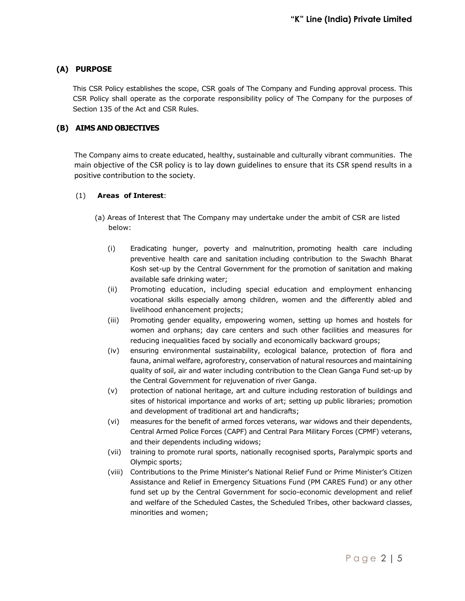# **(A) PURPOSE**

This CSR Policy establishes the scope, CSR goals of The Company and Funding approval process. This CSR Policy shall operate as the corporate responsibility policy of The Company for the purposes of Section 135 of the Act and CSR Rules.

# **(B) AIMS AND OBJECTIVES**

The Company aims to create educated, healthy, sustainable and culturally vibrant communities. The main objective of the CSR policy is to lay down guidelines to ensure that its CSR spend results in a positive contribution to the society.

## (1) **Areas of Interest**:

- (a) Areas of Interest that The Company may undertake under the ambit of CSR are listed below:
	- (i) Eradicating hunger, poverty and malnutrition, promoting health care including preventive health care and sanitation including contribution to the Swachh Bharat Kosh set-up by the Central Government for the promotion of sanitation and making available safe drinking water;
	- (ii) Promoting education, including special education and employment enhancing vocational skills especially among children, women and the differently abled and livelihood enhancement projects;
	- (iii) Promoting gender equality, empowering women, setting up homes and hostels for women and orphans; day care centers and such other facilities and measures for reducing inequalities faced by socially and economically backward groups;
	- (iv) ensuring environmental sustainability, ecological balance, protection of flora and fauna, animal welfare, agroforestry, conservation of natural resources and maintaining quality of soil, air and water including contribution to the Clean Ganga Fund set-up by the Central Government for rejuvenation of river Ganga.
	- (v) protection of national heritage, art and culture including restoration of buildings and sites of historical importance and works of art; setting up public libraries; promotion and development of traditional art and handicrafts;
	- (vi) measures for the benefit of armed forces veterans, war widows and their dependents, Central Armed Police Forces (CAPF) and Central Para Military Forces (CPMF) veterans, and their dependents including widows;
	- (vii) training to promote rural sports, nationally recognised sports, Paralympic sports and Olympic sports;
	- (viii) Contributions to the Prime Minister's National Relief Fund or Prime Minister's Citizen Assistance and Relief in Emergency Situations Fund (PM CARES Fund) or any other fund set up by the Central Government for socio-economic development and relief and welfare of the Scheduled Castes, the Scheduled Tribes, other backward classes, minorities and women;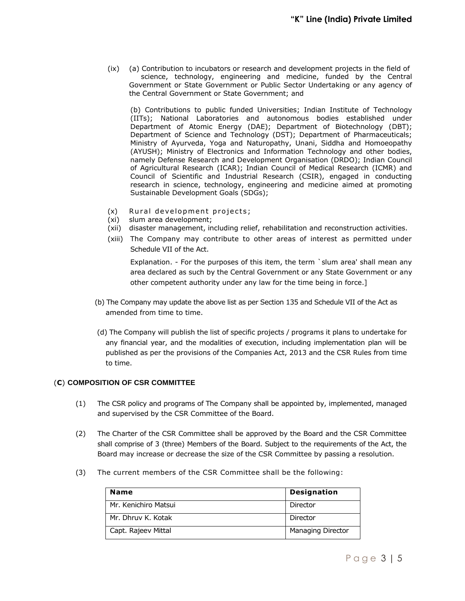(ix) (a) Contribution to incubators or research and development projects in the field of science, technology, engineering and medicine, funded by the Central Government or State Government or Public Sector Undertaking or any agency of the Central Government or State Government; and

(b) Contributions to public funded Universities; Indian Institute of Technology (IITs); National Laboratories and autonomous bodies established under Department of Atomic Energy (DAE); Department of Biotechnology (DBT); Department of Science and Technology (DST); Department of Pharmaceuticals; Ministry of Ayurveda, Yoga and Naturopathy, Unani, Siddha and Homoeopathy (AYUSH); Ministry of Electronics and Information Technology and other bodies, namely Defense Research and Development Organisation (DRDO); Indian Council of Agricultural Research (ICAR); Indian Council of Medical Research (ICMR) and Council of Scientific and Industrial Research (CSIR), engaged in conducting research in science, technology, engineering and medicine aimed at promoting Sustainable Development Goals (SDGs);

- $(x)$  Rural development projects;
- (xi) slum area development;
- (xii) disaster management, including relief, rehabilitation and reconstruction activities.
- (xiii) The Company may contribute to other areas of interest as permitted under Schedule VII of the Act.

Explanation. - For the purposes of this item, the term `slum area' shall mean any area declared as such by the Central Government or any State Government or any other competent authority under any law for the time being in force.]

- (b) The Company may update the above list as per Section 135 and Schedule VII of the Act as amended from time to time.
- (d) The Company will publish the list of specific projects / programs it plans to undertake for any financial year, and the modalities of execution, including implementation plan will be published as per the provisions of the Companies Act, 2013 and the CSR Rules from time to time.

## (**C**) **COMPOSITION OF CSR COMMITTEE**

- (1) The CSR policy and programs of The Company shall be appointed by, implemented, managed and supervised by the CSR Committee of the Board.
- (2) The Charter of the CSR Committee shall be approved by the Board and the CSR Committee shall comprise of 3 (three) Members of the Board. Subject to the requirements of the Act, the Board may increase or decrease the size of the CSR Committee by passing a resolution.
- (3) The current members of the CSR Committee shall be the following:

| <b>Name</b>          | <b>Designation</b>       |
|----------------------|--------------------------|
| Mr. Kenichiro Matsui | Director                 |
| Mr. Dhruy K. Kotak   | Director                 |
| Capt. Rajeev Mittal  | <b>Managing Director</b> |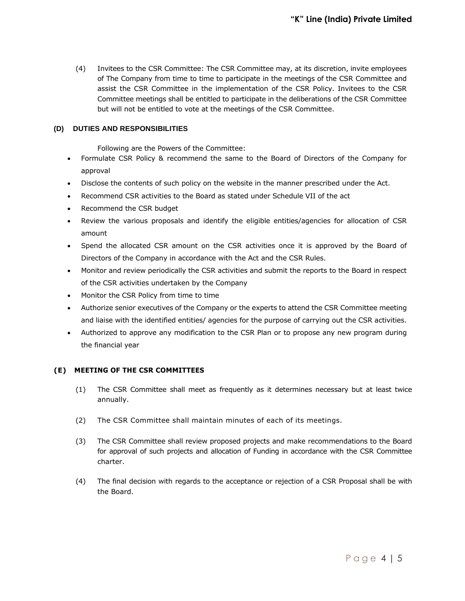(4) Invitees to the CSR Committee: The CSR Committee may, at its discretion, invite employees of The Company from time to time to participate in the meetings of the CSR Committee and assist the CSR Committee in the implementation of the CSR Policy. Invitees to the CSR Committee meetings shall be entitled to participate in the deliberations of the CSR Committee but will not be entitled to vote at the meetings of the CSR Committee.

#### **(D) DUTIES AND RESPONSIBILITIES**

Following are the Powers of the Committee:

- Formulate CSR Policy & recommend the same to the Board of Directors of the Company for approval
- Disclose the contents of such policy on the website in the manner prescribed under the Act.
- Recommend CSR activities to the Board as stated under Schedule VII of the act
- Recommend the CSR budget
- Review the various proposals and identify the eligible entities/agencies for allocation of CSR amount
- Spend the allocated CSR amount on the CSR activities once it is approved by the Board of Directors of the Company in accordance with the Act and the CSR Rules.
- Monitor and review periodically the CSR activities and submit the reports to the Board in respect of the CSR activities undertaken by the Company
- Monitor the CSR Policy from time to time
- Authorize senior executives of the Company or the experts to attend the CSR Committee meeting and liaise with the identified entities/ agencies for the purpose of carrying out the CSR activities.
- Authorized to approve any modification to the CSR Plan or to propose any new program during the financial year

#### **(E) MEETING OF THE CSR COMMITTEES**

- (1) The CSR Committee shall meet as frequently as it determines necessary but at least twice annually.
- (2) The CSR Committee shall maintain minutes of each of its meetings.
- (3) The CSR Committee shall review proposed projects and make recommendations to the Board for approval of such projects and allocation of Funding in accordance with the CSR Committee charter.
- (4) The final decision with regards to the acceptance or rejection of a CSR Proposal shall be with the Board.